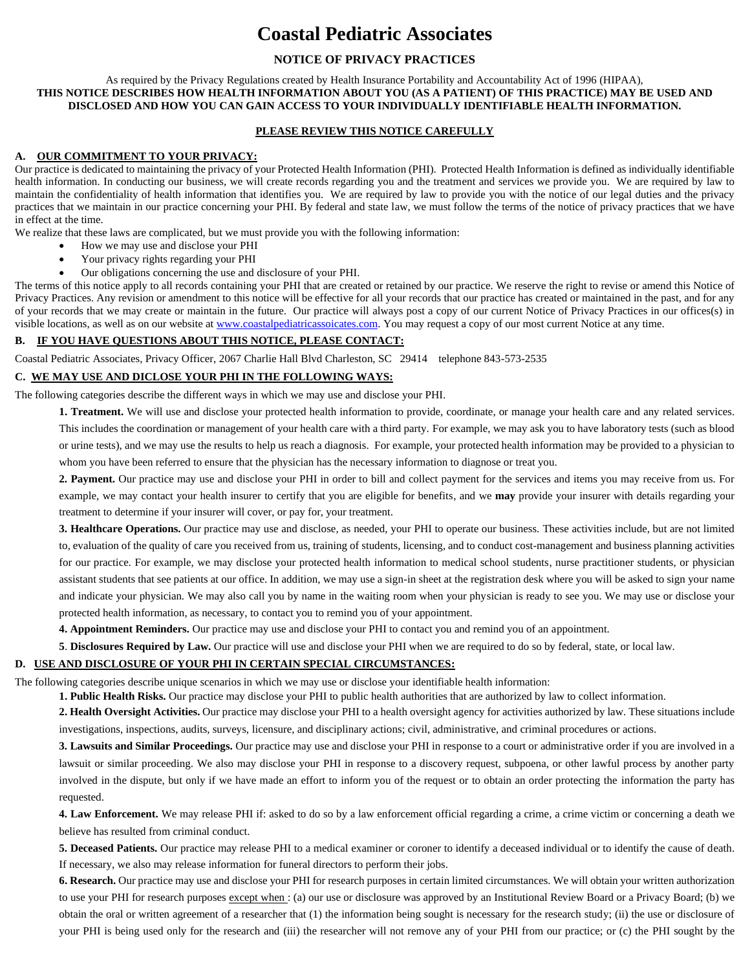# **Coastal Pediatric Associates**

# **NOTICE OF PRIVACY PRACTICES**

#### As required by the Privacy Regulations created by Health Insurance Portability and Accountability Act of 1996 (HIPAA), **THIS NOTICE DESCRIBES HOW HEALTH INFORMATION ABOUT YOU (AS A PATIENT) OF THIS PRACTICE) MAY BE USED AND DISCLOSED AND HOW YOU CAN GAIN ACCESS TO YOUR INDIVIDUALLY IDENTIFIABLE HEALTH INFORMATION.**

#### **PLEASE REVIEW THIS NOTICE CAREFULLY**

#### **A. OUR COMMITMENT TO YOUR PRIVACY:**

Our practice is dedicated to maintaining the privacy of your Protected Health Information (PHI). Protected Health Information is defined as individually identifiable health information. In conducting our business, we will create records regarding you and the treatment and services we provide you. We are required by law to maintain the confidentiality of health information that identifies you. We are required by law to provide you with the notice of our legal duties and the privacy practices that we maintain in our practice concerning your PHI. By federal and state law, we must follow the terms of the notice of privacy practices that we have in effect at the time.

We realize that these laws are complicated, but we must provide you with the following information:

- How we may use and disclose your PHI
- Your privacy rights regarding your PHI
- Our obligations concerning the use and disclosure of your PHI.

The terms of this notice apply to all records containing your PHI that are created or retained by our practice. We reserve the right to revise or amend this Notice of Privacy Practices. Any revision or amendment to this notice will be effective for all your records that our practice has created or maintained in the past, and for any of your records that we may create or maintain in the future. Our practice will always post a copy of our current Notice of Privacy Practices in our offices(s) in visible locations, as well as on our website a[t www.coastalpediatricassoicates.com.](http://www.coastalpediatricassoicates.com/) You may request a copy of our most current Notice at any time.

## **B. IF YOU HAVE QUESTIONS ABOUT THIS NOTICE, PLEASE CONTACT:**

Coastal Pediatric Associates, Privacy Officer, 2067 Charlie Hall Blvd Charleston, SC 29414 telephone 843-573-2535

## **C. WE MAY USE AND DICLOSE YOUR PHI IN THE FOLLOWING WAYS:**

The following categories describe the different ways in which we may use and disclose your PHI.

**1. Treatment.** We will use and disclose your protected health information to provide, coordinate, or manage your health care and any related services. This includes the coordination or management of your health care with a third party. For example, we may ask you to have laboratory tests (such as blood or urine tests), and we may use the results to help us reach a diagnosis. For example, your protected health information may be provided to a physician to whom you have been referred to ensure that the physician has the necessary information to diagnose or treat you.

**2. Payment.** Our practice may use and disclose your PHI in order to bill and collect payment for the services and items you may receive from us. For example, we may contact your health insurer to certify that you are eligible for benefits, and we **may** provide your insurer with details regarding your treatment to determine if your insurer will cover, or pay for, your treatment.

**3. Healthcare Operations.** Our practice may use and disclose, as needed, your PHI to operate our business. These activities include, but are not limited to, evaluation of the quality of care you received from us, training of students, licensing, and to conduct cost-management and business planning activities for our practice. For example, we may disclose your protected health information to medical school students, nurse practitioner students, or physician assistant students that see patients at our office. In addition, we may use a sign-in sheet at the registration desk where you will be asked to sign your name and indicate your physician. We may also call you by name in the waiting room when your physician is ready to see you. We may use or disclose your protected health information, as necessary, to contact you to remind you of your appointment.

**4. Appointment Reminders.** Our practice may use and disclose your PHI to contact you and remind you of an appointment.

**5**. **Disclosures Required by Law.** Our practice will use and disclose your PHI when we are required to do so by federal, state, or local law.

# **D. USE AND DISCLOSURE OF YOUR PHI IN CERTAIN SPECIAL CIRCUMSTANCES:**

The following categories describe unique scenarios in which we may use or disclose your identifiable health information:

**1. Public Health Risks.** Our practice may disclose your PHI to public health authorities that are authorized by law to collect information.

**2. Health Oversight Activities.** Our practice may disclose your PHI to a health oversight agency for activities authorized by law. These situations include investigations, inspections, audits, surveys, licensure, and disciplinary actions; civil, administrative, and criminal procedures or actions.

**3. Lawsuits and Similar Proceedings.** Our practice may use and disclose your PHI in response to a court or administrative order if you are involved in a lawsuit or similar proceeding. We also may disclose your PHI in response to a discovery request, subpoena, or other lawful process by another party involved in the dispute, but only if we have made an effort to inform you of the request or to obtain an order protecting the information the party has requested.

**4. Law Enforcement.** We may release PHI if: asked to do so by a law enforcement official regarding a crime, a crime victim or concerning a death we believe has resulted from criminal conduct.

**5. Deceased Patients.** Our practice may release PHI to a medical examiner or coroner to identify a deceased individual or to identify the cause of death. If necessary, we also may release information for funeral directors to perform their jobs.

**6. Research.** Our practice may use and disclose your PHI for research purposes in certain limited circumstances. We will obtain your written authorization to use your PHI for research purposes except when: (a) our use or disclosure was approved by an Institutional Review Board or a Privacy Board; (b) we obtain the oral or written agreement of a researcher that (1) the information being sought is necessary for the research study; (ii) the use or disclosure of your PHI is being used only for the research and (iii) the researcher will not remove any of your PHI from our practice; or (c) the PHI sought by the